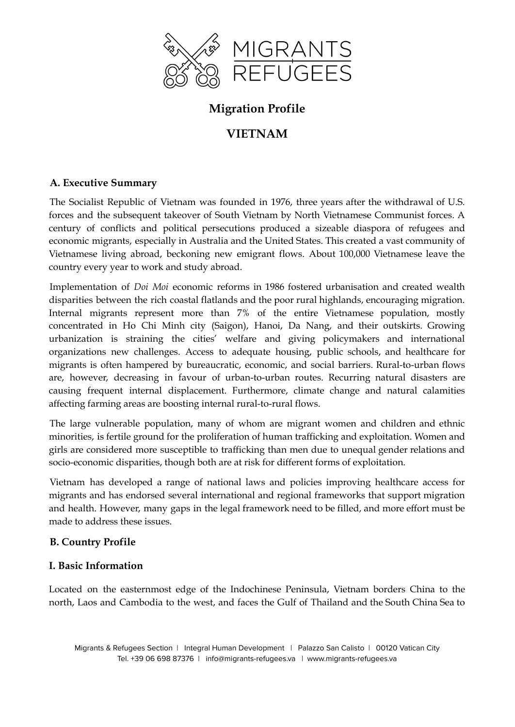

## **Migration Profile**

# **VIETNAM**

## **A. Executive Summary**

The Socialist Republic of Vietnam was founded in 1976, three years after the withdrawal of U.S. forces and the subsequent takeover of South Vietnam by North Vietnamese Communist forces. A century of conflicts and political persecutions produced a sizeable diaspora of refugees and economic migrants, especially in Australia and the United States. This created a vast community of Vietnamese living abroad, beckoning new emigrant flows. About 100,000 Vietnamese leave the country every year to work and study abroad.

Implementation of *Doi Moi* economic reforms in 1986 fostered urbanisation and created wealth disparities between the rich coastal flatlands and the poor rural highlands, encouraging migration. Internal migrants represent more than 7% of the entire Vietnamese population, mostly concentrated in Ho Chi Minh city (Saigon), Hanoi, Da Nang, and their outskirts. Growing urbanization is straining the cities' welfare and giving policymakers and international organizations new challenges. Access to adequate housing, public schools, and healthcare for migrants is often hampered by bureaucratic, economic, and social barriers. Rural-to-urban flows are, however, decreasing in favour of urban-to-urban routes. Recurring natural disasters are causing frequent internal displacement. Furthermore, climate change and natural calamities affecting farming areas are boosting internal rural-to-rural flows.

The large vulnerable population, many of whom are migrant women and children and ethnic minorities, is fertile ground for the proliferation of human trafficking and exploitation. Women and girls are considered more susceptible to trafficking than men due to unequal gender relations and socio-economic disparities, though both are at risk for different forms of exploitation.

Vietnam has developed a range of national laws and policies improving healthcare access for migrants and has endorsed several international and regional frameworks that support migration and health. However, many gaps in the legal framework need to be filled, and more effort must be made to address these issues.

## **B. Country Profile**

#### **I. Basic Information**

Located on the easternmost edge of the Indochinese Peninsula, Vietnam borders China to the north, Laos and Cambodia to the west, and faces the Gulf of Thailand and the South China Sea to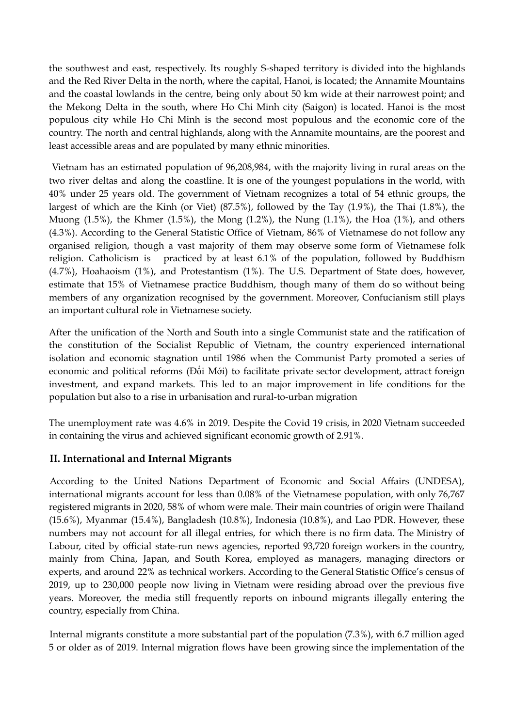the southwest and east, respectively. Its roughly S-shaped territory is divided into the highlands and the Red River Delta in the north, where the capital, Hanoi, is located; the Annamite Mountains and the coastal lowlands in the centre, being only about 50 km wide at their narrowest point; and the Mekong Delta in the south, where Ho Chi Minh city (Saigon) is located. Hanoi is the most populous city while Ho Chi Minh is the second most populous and the economic core of the country. The north and central highlands, along with the Annamite mountains, are the poorest and least accessible areas and are populated by many ethnic minorities.

Vietnam has an estimated population of 96,208,984, with the majority living in rural areas on the two river deltas and along the coastline. It is one of the youngest populations in the world, with 40% under 25 years old. The government of Vietnam recognizes a total of 54 ethnic groups, the largest of which are the Kinh (or Viet) (87.5%), followed by the Tay (1.9%), the Thai (1.8%), the Muong  $(1.5\%)$ , the Khmer  $(1.5\%)$ , the Mong  $(1.2\%)$ , the Nung  $(1.1\%)$ , the Hoa  $(1\%)$ , and others (4.3%). According to the General Statistic Office of Vietnam, 86% of Vietnamese do not follow any organised religion, though a vast majority of them may observe some form of Vietnamese folk religion. Catholicism is practiced by at least 6.1% of the population, followed by Buddhism (4.7%), Hoahaoism (1%), and Protestantism (1%). The U.S. Department of State does, however, estimate that 15% of Vietnamese practice Buddhism, though many of them do so without being members of any organization recognised by the government. Moreover, Confucianism still plays an important cultural role in Vietnamese society.

After the unification of the North and South into a single Communist state and the ratification of the constitution of the Socialist Republic of Vietnam, the country experienced international isolation and economic stagnation until 1986 when the Communist Party promoted a series of economic and political reforms (Đổi Mới) to facilitate private sector development, attract foreign investment, and expand markets. This led to an major improvement in life conditions for the population but also to a rise in urbanisation and rural-to-urban migration

The unemployment rate was 4.6% in 2019. Despite the Covid 19 crisis, in 2020 Vietnam succeeded in containing the virus and achieved significant economic growth of 2.91%.

#### **II. International and Internal Migrants**

According to the United Nations Department of Economic and Social Affairs (UNDESA), international migrants account for less than 0.08% of the Vietnamese population, with only 76,767 registered migrants in 2020, 58% of whom were male. Their main countries of origin were Thailand (15.6%), Myanmar (15.4%), Bangladesh (10.8%), Indonesia (10.8%), and Lao PDR. However, these numbers may not account for all illegal entries, for which there is no firm data. The Ministry of Labour, cited by official state-run news agencies, reported 93,720 foreign workers in the country, mainly from China, Japan, and South Korea, employed as managers, managing directors or experts, and around 22% as technical workers. According to the General Statistic Office's census of 2019, up to 230,000 people now living in Vietnam were residing abroad over the previous five years. Moreover, the media still frequently reports on inbound migrants illegally entering the country, especially from China.

Internal migrants constitute a more substantial part of the population (7.3%), with 6.7 million aged 5 or older as of 2019. Internal migration flows have been growing since the implementation of the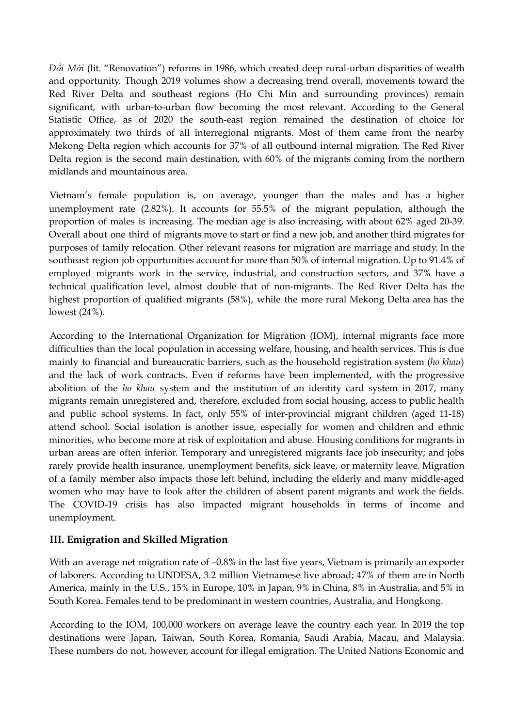*Đổi Mới* (lit. "Renovation") reforms in 1986, which created deep rural-urban disparities of wealth and opportunity. Though 2019 volumes show a decreasing trend overall, movements toward the Red River Delta and southeast regions (Ho Chi Min and surrounding provinces) remain significant, with urban-to-urban flow becoming the most relevant. According to the General Statistic Office, as of 2020 the south-east region remained the destination of choice for approximately two thirds of all interregional migrants. Most of them came from the nearby Mekong Delta region which accounts for 37% of all outbound internal migration. The Red River Delta region is the second main destination, with 60% of the migrants coming from the northern midlands and mountainous area.

Vietnam's female population is, on average, younger than the males and has a higher unemployment rate (2.82%). It accounts for 55.5% of the migrant population, although the proportion of males is increasing. The median age is also increasing, with about 62% aged 20-39. Overall about one third of migrants move to start or find a new job, and another third migrates for purposes of family relocation. Other relevant reasons for migration are marriage and study. In the southeast region job opportunities account for more than 50% of internal migration. Up to 91.4% of employed migrants work in the service, industrial, and construction sectors, and 37% have a technical qualification level, almost double that of non-migrants. The Red River Delta has the highest proportion of qualified migrants (58%), while the more rural Mekong Delta area has the lowest (24%).

According to the International Organization for Migration (IOM), internal migrants face more difficulties than the local population in accessing welfare, housing, and health services. This is due mainly to financial and bureaucratic barriers, such as the household registration system (*ho khau*) and the lack of work contracts. Even if reforms have been implemented, with the progressive abolition of the *ho khau* system and the institution of an identity card system in 2017, many migrants remain unregistered and, therefore, excluded from social housing, access to public health and public school systems. In fact, only 55% of inter-provincial migrant children (aged 11-18) attend school. Social isolation is another issue, especially for women and children and ethnic minorities, who become more at risk of exploitation and abuse. Housing conditions for migrants in urban areas are often inferior. Temporary and unregistered migrants face job insecurity; and jobs rarely provide health insurance, unemployment benefits, sick leave, or maternity leave. Migration of a family member also impacts those left behind, including the elderly and many middle-aged women who may have to look after the children of absent parent migrants and work the fields. The COVID-19 crisis has also impacted migrant households in terms of income and unemployment.

## **III. Emigration and Skilled Migration**

With an average net migration rate of  $-0.8\%$  in the last five years, Vietnam is primarily an exporter of laborers. According to UNDESA, 3.2 million Vietnamese live abroad; 47% of them are in North America, mainly in the U.S., 15% in Europe, 10% in Japan, 9% in China, 8% in Australia, and 5% in South Korea. Females tend to be predominant in western countries, Australia, and Hongkong.

According to the IOM, 100,000 workers on average leave the country each year. In 2019 the top destinations were Japan, Taiwan, South Korea, Romania, Saudi Arabia, Macau, and Malaysia. These numbers do not, however, account for illegal emigration. The United Nations Economic and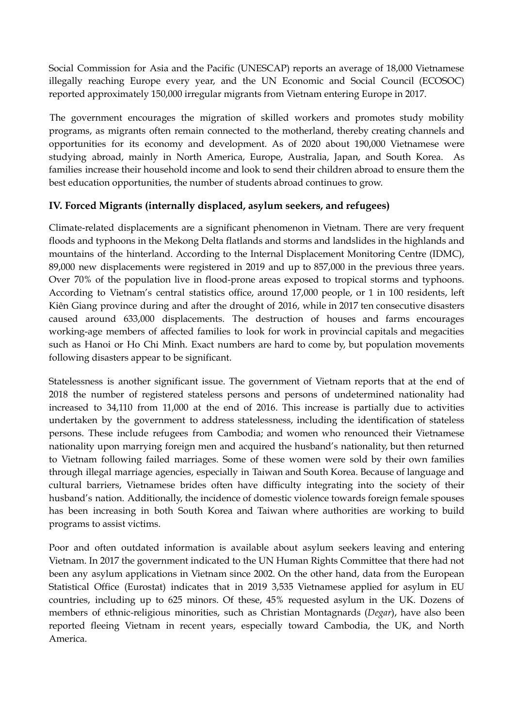Social Commission for Asia and the Pacific (UNESCAP) reports an average of 18,000 Vietnamese illegally reaching Europe every year, and the UN Economic and Social Council (ECOSOC) reported approximately 150,000 irregular migrants from Vietnam entering Europe in 2017.

The government encourages the migration of skilled workers and promotes study mobility programs, as migrants often remain connected to the motherland, thereby creating channels and opportunities for its economy and development. As of 2020 about 190,000 Vietnamese were studying abroad, mainly in North America, Europe, Australia, Japan, and South Korea. As families increase their household income and look to send their children abroad to ensure them the best education opportunities, the number of students abroad continues to grow.

## **IV. Forced Migrants (internally displaced, asylum seekers, and refugees)**

Climate-related displacements are a significant phenomenon in Vietnam. There are very frequent floods and typhoons in the Mekong Delta flatlands and storms and landslides in the highlands and mountains of the hinterland. According to the Internal Displacement Monitoring Centre (IDMC), 89,000 new displacements were registered in 2019 and up to 857,000 in the previous three years. Over 70% of the population live in flood-prone areas exposed to tropical storms and typhoons. According to Vietnam's central statistics office, around 17,000 people, or 1 in 100 residents, left Kiên Giang province during and after the drought of 2016, while in 2017 ten consecutive disasters caused around 633,000 displacements. The destruction of houses and farms encourages working-age members of affected families to look for work in provincial capitals and megacities such as Hanoi or Ho Chi Minh. Exact numbers are hard to come by, but population movements following disasters appear to be significant.

Statelessness is another significant issue. The government of Vietnam reports that at the end of 2018 the number of registered stateless persons and persons of undetermined nationality had increased to 34,110 from 11,000 at the end of 2016. This increase is partially due to activities undertaken by the government to address statelessness, including the identification of stateless persons. These include refugees from Cambodia; and women who renounced their Vietnamese nationality upon marrying foreign men and acquired the husband's nationality, but then returned to Vietnam following failed marriages. Some of these women were sold by their own families through illegal marriage agencies, especially in Taiwan and South Korea. Because of language and cultural barriers, Vietnamese brides often have difficulty integrating into the society of their husband's nation. Additionally, the incidence of domestic violence towards foreign female spouses has been increasing in both South Korea and Taiwan where authorities are working to build programs to assist victims.

Poor and often outdated information is available about asylum seekers leaving and entering Vietnam. In 2017 the government indicated to the UN Human Rights Committee that there had not been any asylum applications in Vietnam since 2002. On the other hand, data from the European Statistical Office (Eurostat) indicates that in 2019 3,535 Vietnamese applied for asylum in EU countries, including up to 625 minors. Of these, 45% requested asylum in the UK. Dozens of members of ethnic-religious minorities, such as Christian Montagnards (*Degar*), have also been reported fleeing Vietnam in recent years, especially toward Cambodia, the UK, and North America.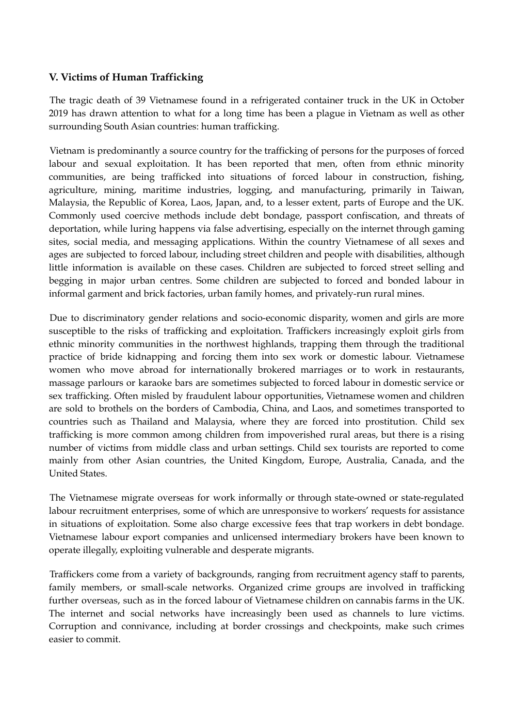## **V. Victims of Human Trafficking**

The tragic death of 39 Vietnamese found in a refrigerated container truck in the UK in October 2019 has drawn attention to what for a long time has been a plague in Vietnam as well as other surrounding South Asian countries: human trafficking.

Vietnam is predominantly a source country for the trafficking of persons for the purposes of forced labour and sexual exploitation. It has been reported that men, often from ethnic minority communities, are being trafficked into situations of forced labour in construction, fishing, agriculture, mining, maritime industries, logging, and manufacturing, primarily in Taiwan, Malaysia, the Republic of Korea, Laos, Japan, and, to a lesser extent, parts of Europe and the UK. Commonly used coercive methods include debt bondage, passport confiscation, and threats of deportation, while luring happens via false advertising, especially on the internet through gaming sites, social media, and messaging applications. Within the country Vietnamese of all sexes and ages are subjected to forced labour, including street children and people with disabilities, although little information is available on these cases. Children are subjected to forced street selling and begging in major urban centres. Some children are subjected to forced and bonded labour in informal garment and brick factories, urban family homes, and privately-run rural mines.

Due to discriminatory gender relations and socio-economic disparity, women and girls are more susceptible to the risks of trafficking and exploitation. Traffickers increasingly exploit girls from ethnic minority communities in the northwest highlands, trapping them through the traditional practice of bride kidnapping and forcing them into sex work or domestic labour. Vietnamese women who move abroad for internationally brokered marriages or to work in restaurants, massage parlours or karaoke bars are sometimes subjected to forced labour in domestic service or sex trafficking. Often misled by fraudulent labour opportunities, Vietnamese women and children are sold to brothels on the borders of Cambodia, China, and Laos, and sometimes transported to countries such as Thailand and Malaysia, where they are forced into prostitution. Child sex trafficking is more common among children from impoverished rural areas, but there is a rising number of victims from middle class and urban settings. Child sex tourists are reported to come mainly from other Asian countries, the United Kingdom, Europe, Australia, Canada, and the United States.

The Vietnamese migrate overseas for work informally or through state-owned or state-regulated labour recruitment enterprises, some of which are unresponsive to workers' requests for assistance in situations of exploitation. Some also charge excessive fees that trap workers in debt bondage. Vietnamese labour export companies and unlicensed intermediary brokers have been known to operate illegally, exploiting vulnerable and desperate migrants.

Traffickers come from a variety of backgrounds, ranging from recruitment agency staff to parents, family members, or small-scale networks. Organized crime groups are involved in trafficking further overseas, such as in the forced labour of Vietnamese children on cannabis farms in the UK. The internet and social networks have increasingly been used as channels to lure victims. Corruption and connivance, including at border crossings and checkpoints, make such crimes easier to commit.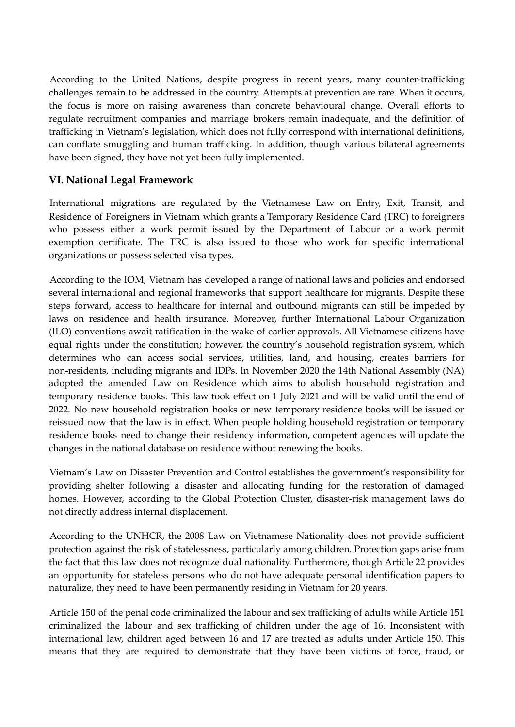According to the United Nations, despite progress in recent years, many counter-trafficking challenges remain to be addressed in the country. Attempts at prevention are rare. When it occurs, the focus is more on raising awareness than concrete behavioural change. Overall efforts to regulate recruitment companies and marriage brokers remain inadequate, and the definition of trafficking in Vietnam's legislation, which does not fully correspond with international definitions, can conflate smuggling and human trafficking. In addition, though various bilateral agreements have been signed, they have not yet been fully implemented.

#### **VI. National Legal Framework**

International migrations are regulated by the Vietnamese Law on Entry, Exit, Transit, and Residence of Foreigners in Vietnam which grants a Temporary Residence Card (TRC) to foreigners who possess either a work permit issued by the Department of Labour or a work permit exemption certificate. The TRC is also issued to those who work for specific international organizations or possess selected visa types.

According to the IOM, Vietnam has developed a range of national laws and policies and endorsed several international and regional frameworks that support healthcare for migrants. Despite these steps forward, access to healthcare for internal and outbound migrants can still be impeded by laws on residence and health insurance. Moreover, further International Labour Organization (ILO) conventions await ratification in the wake of earlier approvals. All Vietnamese citizens have equal rights under the constitution; however, the country's household registration system, which determines who can access social services, utilities, land, and housing, creates barriers for non-residents, including migrants and IDPs. In November 2020 the 14th National Assembly (NA) adopted the amended Law on Residence which aims to abolish household registration and temporary residence books. This law took effect on 1 July 2021 and will be valid until the end of 2022. No new household registration books or new temporary residence books will be issued or reissued now that the law is in effect. When people holding household registration or temporary residence books need to change their residency information, competent agencies will update the changes in the national database on residence without renewing the books.

Vietnam's Law on Disaster Prevention and Control establishes the government's responsibility for providing shelter following a disaster and allocating funding for the restoration of damaged homes. However, according to the Global Protection Cluster, disaster-risk management laws do not directly address internal displacement.

According to the UNHCR, the 2008 Law on Vietnamese Nationality does not provide sufficient protection against the risk of statelessness, particularly among children. Protection gaps arise from the fact that this law does not recognize dual nationality. Furthermore, though Article 22 provides an opportunity for stateless persons who do not have adequate personal identification papers to naturalize, they need to have been permanently residing in Vietnam for 20 years.

Article 150 of the penal code criminalized the labour and sex trafficking of adults while Article 151 criminalized the labour and sex trafficking of children under the age of 16. Inconsistent with international law, children aged between 16 and 17 are treated as adults under Article 150. This means that they are required to demonstrate that they have been victims of force, fraud, or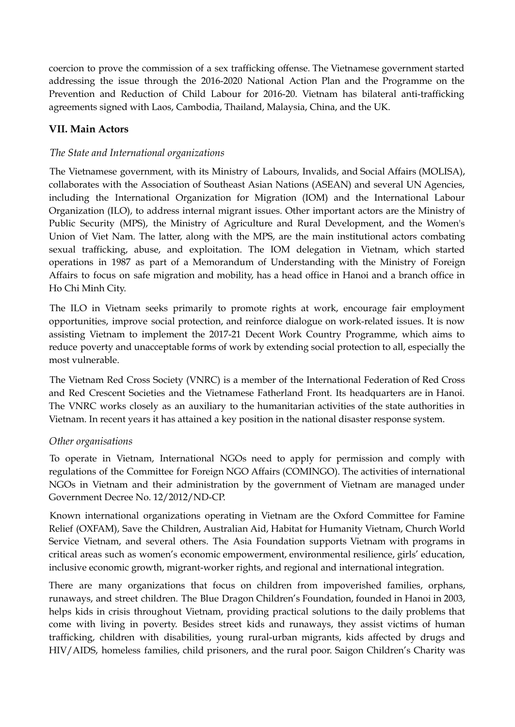coercion to prove the commission of a sex trafficking offense. The Vietnamese government started addressing the issue through the 2016-2020 National Action Plan and the Programme on the Prevention and Reduction of Child Labour for 2016-20. Vietnam has bilateral anti-trafficking agreements signed with Laos, Cambodia, Thailand, Malaysia, China, and the UK.

## **VII. Main Actors**

#### *The State and International organizations*

The Vietnamese government, with its Ministry of Labours, Invalids, and Social Affairs (MOLISA), collaborates with the Association of Southeast Asian Nations (ASEAN) and several UN Agencies, including the International Organization for Migration (IOM) and the International Labour Organization (ILO), to address internal migrant issues. Other important actors are the Ministry of Public Security (MPS), the Ministry of Agriculture and Rural Development, and the Women's Union of Viet Nam. The latter, along with the MPS, are the main institutional actors combating sexual trafficking, abuse, and exploitation. The IOM delegation in Vietnam, which started operations in 1987 as part of a Memorandum of Understanding with the Ministry of Foreign Affairs to focus on safe migration and mobility, has a head office in Hanoi and a branch office in Ho Chi Minh City.

The ILO in Vietnam seeks primarily to promote rights at work, encourage fair employment opportunities, improve social protection, and reinforce dialogue on work-related issues. It is now assisting Vietnam to implement the 2017-21 Decent Work Country Programme, which aims to reduce poverty and unacceptable forms of work by extending social protection to all, especially the most vulnerable.

The Vietnam Red Cross Society (VNRC) is a member of the International Federation of Red Cross and Red Crescent Societies and the Vietnamese Fatherland Front. Its headquarters are in Hanoi. The VNRC works closely as an auxiliary to the humanitarian activities of the state authorities in Vietnam. In recent years it has attained a key position in the national disaster response system.

#### *Other organisations*

To operate in Vietnam, International NGOs need to apply for permission and comply with regulations of the Committee for Foreign NGO Affairs (COMINGO). The activities of international NGOs in Vietnam and their administration by the government of Vietnam are managed under Government Decree No. 12/2012/ND-CP.

Known international organizations operating in Vietnam are the Oxford Committee for Famine Relief (OXFAM), Save the Children, Australian Aid, Habitat for Humanity Vietnam, Church World Service Vietnam, and several others. The Asia Foundation supports Vietnam with programs in critical areas such as women's economic empowerment, environmental resilience, girls' education, inclusive economic growth, migrant-worker rights, and regional and international integration.

There are many organizations that focus on children from impoverished families, orphans, runaways, and street children. The Blue Dragon Children's Foundation, founded in Hanoi in 2003, helps kids in crisis throughout Vietnam, providing practical solutions to the daily problems that come with living in poverty. Besides street kids and runaways, they assist victims of human trafficking, children with disabilities, young rural-urban migrants, kids affected by drugs and HIV/AIDS, homeless families, child prisoners, and the rural poor. Saigon Children's Charity was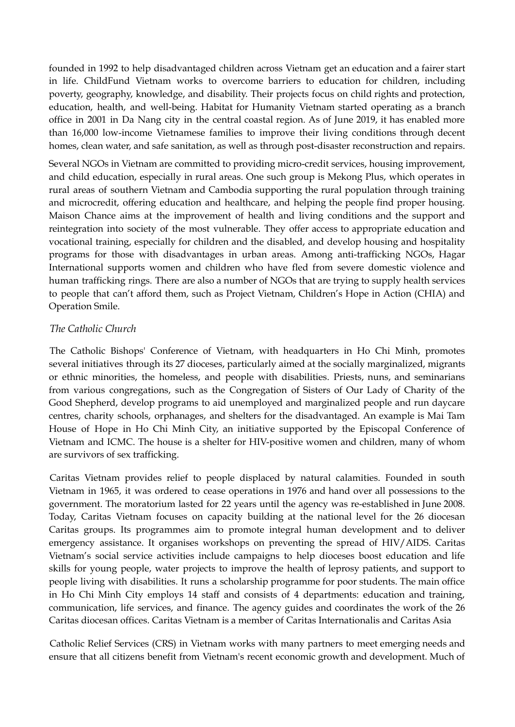founded in 1992 to help disadvantaged children across Vietnam get an education and a fairer start in life. ChildFund Vietnam works to overcome barriers to education for children, including poverty, geography, knowledge, and disability. Their projects focus on child rights and protection, education, health, and well-being. Habitat for Humanity Vietnam started operating as a branch office in 2001 in Da Nang city in the central coastal region. As of June 2019, it has enabled more than 16,000 low-income Vietnamese families to improve their living conditions through decent homes, clean water, and safe sanitation, as well as through post-disaster reconstruction and repairs.

Several NGOs in Vietnam are committed to providing micro-credit services, housing improvement, and child education, especially in rural areas. One such group is Mekong Plus, which operates in rural areas of southern Vietnam and Cambodia supporting the rural population through training and microcredit, offering education and healthcare, and helping the people find proper housing. Maison Chance aims at the improvement of health and living conditions and the support and reintegration into society of the most vulnerable. They offer access to appropriate education and vocational training, especially for children and the disabled, and develop housing and hospitality programs for those with disadvantages in urban areas. Among anti-trafficking NGOs, Hagar International supports women and children who have fled from severe domestic violence and human trafficking rings. There are also a number of NGOs that are trying to supply health services to people that can't afford them, such as Project Vietnam, Children's Hope in Action (CHIA) and Operation Smile.

#### *The Catholic Church*

The Catholic Bishops' Conference of Vietnam, with headquarters in Ho Chi Minh, promotes several initiatives through its 27 dioceses, particularly aimed at the socially marginalized, migrants or ethnic minorities, the homeless, and people with disabilities. Priests, nuns, and seminarians from various congregations, such as the Congregation of Sisters of Our Lady of Charity of the Good Shepherd, develop programs to aid unemployed and marginalized people and run daycare centres, charity schools, orphanages, and shelters for the disadvantaged. An example is Mai Tam House of Hope in Ho Chi Minh City, an initiative supported by the Episcopal Conference of Vietnam and ICMC. The house is a shelter for HIV-positive women and children, many of whom are survivors of sex trafficking.

Caritas Vietnam provides relief to people displaced by natural calamities. Founded in south Vietnam in 1965, it was ordered to cease operations in 1976 and hand over all possessions to the government. The moratorium lasted for 22 years until the agency was re-established in June 2008. Today, Caritas Vietnam focuses on capacity building at the national level for the 26 diocesan Caritas groups. Its programmes aim to promote integral human development and to deliver emergency assistance. It organises workshops on preventing the spread of HIV/AIDS. Caritas Vietnam's social service activities include campaigns to help dioceses boost education and life skills for young people, water projects to improve the health of leprosy patients, and support to people living with disabilities. It runs a scholarship programme for poor students. The main office in Ho Chi Minh City employs 14 staff and consists of 4 departments: education and training, communication, life services, and finance. The agency guides and coordinates the work of the 26 Caritas diocesan offices. Caritas Vietnam is a member of Caritas Internationalis and Caritas Asia

Catholic Relief Services (CRS) in Vietnam works with many partners to meet emerging needs and ensure that all citizens benefit from Vietnam's recent economic growth and development. Much of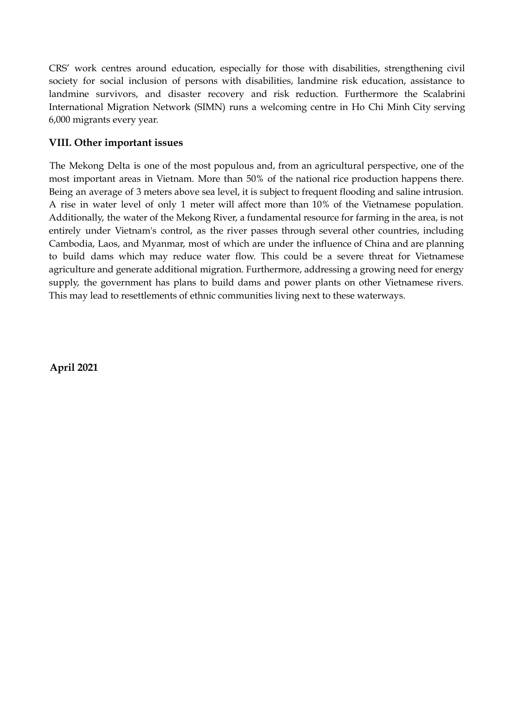CRS' work centres around education, especially for those with disabilities, strengthening civil society for social inclusion of persons with disabilities, landmine risk education, assistance to landmine survivors, and disaster recovery and risk reduction. Furthermore the Scalabrini International Migration Network (SIMN) runs a welcoming centre in Ho Chi Minh City serving 6,000 migrants every year.

## **VIII. Other important issues**

The Mekong Delta is one of the most populous and, from an agricultural perspective, one of the most important areas in Vietnam. More than 50% of the national rice production happens there. Being an average of 3 meters above sea level, it is subject to frequent flooding and saline intrusion. A rise in water level of only 1 meter will affect more than 10% of the Vietnamese population. Additionally, the water of the Mekong River, a fundamental resource for farming in the area, is not entirely under Vietnam's control, as the river passes through several other countries, including Cambodia, Laos, and Myanmar, most of which are under the influence of China and are planning to build dams which may reduce water flow. This could be a severe threat for Vietnamese agriculture and generate additional migration. Furthermore, addressing a growing need for energy supply, the government has plans to build dams and power plants on other Vietnamese rivers. This may lead to resettlements of ethnic communities living next to these waterways.

**April 2021**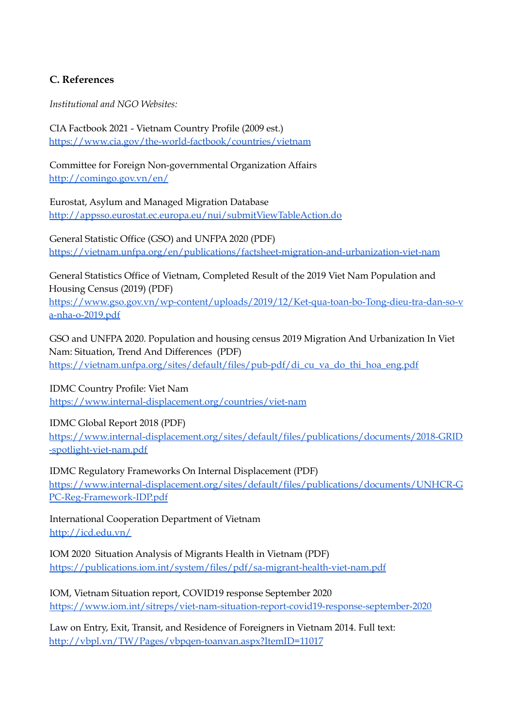## **C. References**

*Institutional and NGO Websites:*

CIA Factbook 2021 - Vietnam Country Profile (2009 est.) <https://www.cia.gov/the-world-factbook/countries/vietnam>

Committee for Foreign Non-governmental Organization Affairs <http://comingo.gov.vn/en/>

Eurostat, Asylum and Managed Migration Database <http://appsso.eurostat.ec.europa.eu/nui/submitViewTableAction.do>

General Statistic Office (GSO) and UNFPA 2020 (PDF) <https://vietnam.unfpa.org/en/publications/factsheet-migration-and-urbanization-viet-nam>

General Statistics Office of Vietnam, Completed Result of the 2019 Viet Nam Population and Housing Census (2019) (PDF) [https://www.gso.gov.vn/wp-content/uploads/2019/12/Ket-qua-toan-bo-Tong-dieu-tra-dan-so-v](https://www.gso.gov.vn/wp-content/uploads/2019/12/Ket-qua-toan-bo-Tong-dieu-tra-dan-so-va-nha-o-2019.pdf) [a-nha-o-2019.pdf](https://www.gso.gov.vn/wp-content/uploads/2019/12/Ket-qua-toan-bo-Tong-dieu-tra-dan-so-va-nha-o-2019.pdf)

GSO and UNFPA 2020. Population and housing census 2019 Migration And Urbanization In Viet Nam: Situation, Trend And Differences (PDF) [https://vietnam.unfpa.org/sites/default/files/pub-pdf/di\\_cu\\_va\\_do\\_thi\\_hoa\\_eng.pdf](https://vietnam.unfpa.org/sites/default/files/pub-pdf/di_cu_va_do_thi_hoa_eng.pdf)

IDMC Country Profile: Viet Nam <https://www.internal-displacement.org/countries/viet-nam>

IDMC Global Report 2018 (PDF) [https://www.internal-displacement.org/sites/default/files/publications/documents/2018-GRID](https://www.internal-displacement.org/sites/default/files/publications/documents/2018-GRID-spotlight-viet-nam.pdf) [-spotlight-viet-nam.pdf](https://www.internal-displacement.org/sites/default/files/publications/documents/2018-GRID-spotlight-viet-nam.pdf)

IDMC Regulatory Frameworks On Internal Displacement (PDF) [https://www.internal-displacement.org/sites/default/files/publications/documents/UNHCR-G](https://www.internal-displacement.org/sites/default/files/publications/documents/UNHCR-GPC-Reg-Framework-IDP.pdf) [PC-Reg-Framework-IDP.pdf](https://www.internal-displacement.org/sites/default/files/publications/documents/UNHCR-GPC-Reg-Framework-IDP.pdf)

International Cooperation Department of Vietnam <http://icd.edu.vn/>

IOM 2020 Situation Analysis of Migrants Health in Vietnam (PDF) <https://publications.iom.int/system/files/pdf/sa-migrant-health-viet-nam.pdf>

IOM, Vietnam Situation report, COVID19 response September 2020 <https://www.iom.int/sitreps/viet-nam-situation-report-covid19-response-september-2020>

Law on Entry, Exit, Transit, and Residence of Foreigners in Vietnam 2014. Full text: <http://vbpl.vn/TW/Pages/vbpqen-toanvan.aspx?ItemID=11017>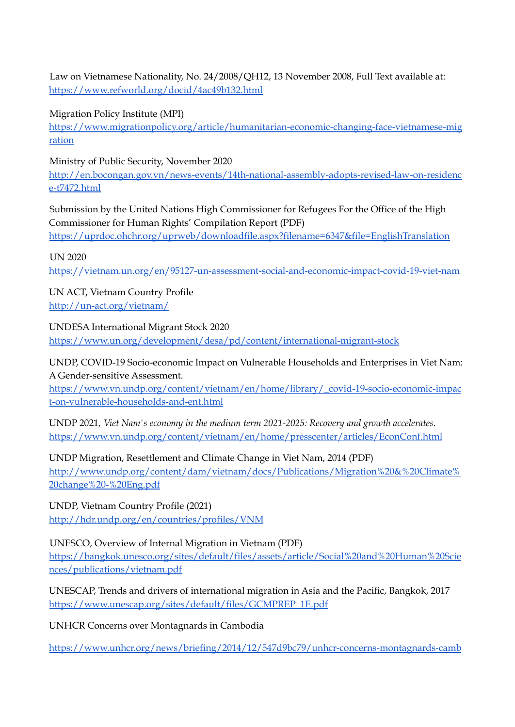Law on Vietnamese Nationality, No. 24/2008/QH12, 13 November 2008, Full Text available at: <https://www.refworld.org/docid/4ac49b132.html>

Migration Policy Institute (MPI)

[https://www.migrationpolicy.org/article/humanitarian-economic-changing-face-vietnamese-mig](https://www.migrationpolicy.org/article/humanitarian-economic-changing-face-vietnamese-migration) [ration](https://www.migrationpolicy.org/article/humanitarian-economic-changing-face-vietnamese-migration)

Ministry of Public Security, November 2020

[http://en.bocongan.gov.vn/news-events/14th-national-assembly-adopts-revised-law-on-residenc](http://en.bocongan.gov.vn/news-events/14th-national-assembly-adopts-revised-law-on-residence-t7472.html) [e-t7472.html](http://en.bocongan.gov.vn/news-events/14th-national-assembly-adopts-revised-law-on-residence-t7472.html)

Submission by the United Nations High Commissioner for Refugees For the Office of the High Commissioner for Human Rights' Compilation Report (PDF)

<https://uprdoc.ohchr.org/uprweb/downloadfile.aspx?filename=6347&file=EnglishTranslation>

UN 2020

<https://vietnam.un.org/en/95127-un-assessment-social-and-economic-impact-covid-19-viet-nam>

UN ACT, Vietnam Country Profile <http://un-act.org/vietnam/>

UNDESA International Migrant Stock 2020 <https://www.un.org/development/desa/pd/content/international-migrant-stock>

UNDP, COVID-19 Socio-economic Impact on Vulnerable Households and Enterprises in Viet Nam: A Gender-sensitive Assessment.

[https://www.vn.undp.org/content/vietnam/en/home/library/\\_covid-19-socio-economic-impac](https://www.vn.undp.org/content/vietnam/en/home/library/_covid-19-socio-economic-impact-on-vulnerable-households-and-ent.html) [t-on-vulnerable-households-and-ent.html](https://www.vn.undp.org/content/vietnam/en/home/library/_covid-19-socio-economic-impact-on-vulnerable-households-and-ent.html)

UNDP 2021, *Viet Nam's economy in the medium term 2021-2025: Recovery and growth accelerates.* <https://www.vn.undp.org/content/vietnam/en/home/presscenter/articles/EconConf.html>

UNDP Migration, Resettlement and Climate Change in Viet Nam, 2014 (PDF) [http://www.undp.org/content/dam/vietnam/docs/Publications/Migration%20&%20Climate%](http://www.undp.org/content/dam/vietnam/docs/Publications/Migration%20&%20Climate%20change%20-%20Eng.pdf) [20change%20-%20Eng.pdf](http://www.undp.org/content/dam/vietnam/docs/Publications/Migration%20&%20Climate%20change%20-%20Eng.pdf)

UNDP, Vietnam Country Profile (2021) <http://hdr.undp.org/en/countries/profiles/VNM>

UNESCO, Overview of Internal Migration in Vietnam (PDF) [https://bangkok.unesco.org/sites/default/files/assets/article/Social%20and%20Human%20Scie](https://bangkok.unesco.org/sites/default/files/assets/article/Social%20and%20Human%20Sciences/publications/vietnam.pdf) [nces/publications/vietnam.pdf](https://bangkok.unesco.org/sites/default/files/assets/article/Social%20and%20Human%20Sciences/publications/vietnam.pdf)

UNESCAP, Trends and drivers of international migration in Asia and the Pacific, Bangkok, 2017 [https://www.unescap.org/sites/default/files/GCMPREP\\_1E.pdf](https://www.unescap.org/sites/default/files/GCMPREP_1E.pdf)

UNHCR Concerns over Montagnards in Cambodia

[https://www.unhcr.org/news/briefing/2014/12/547d9bc79/unhcr-concerns-montagnards-camb](https://www.unhcr.org/news/briefing/2014/12/547d9bc79/unhcr-concerns-montagnards-cambodia.html)